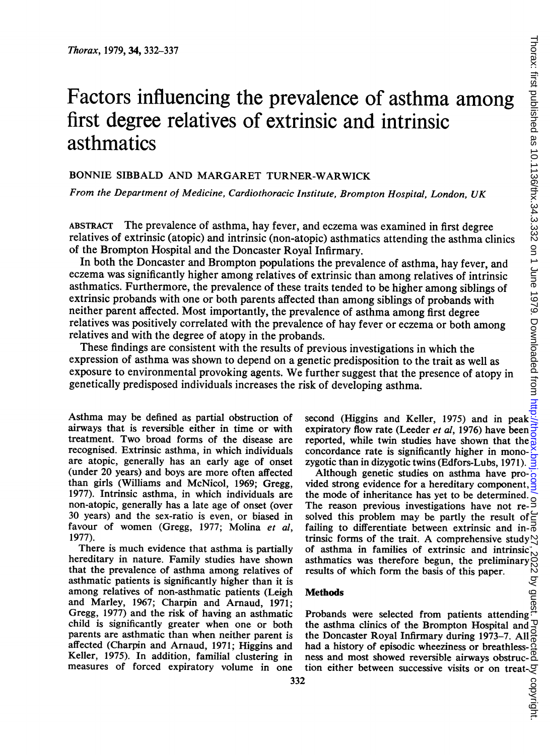# Factors influencing the prevalence of asthma among first degree relatives of extrinsic and intrinsic asthmatics

# BONNIE SIBBALD AND MARGARET TURNER-WARWICK

From the Department of Medicine, Cardiothoracic Institute, Brompton Hospital, London, UK

ABSTRACT The prevalence of asthma, hay fever, and eczema was examined in first degree relatives of extrinsic (atopic) and intrinsic (non-atopic) asthmatics attending the asthma clinics of the Brompton Hospital and the Doncaster Royal Infirmary.

In both the Doncaster and Brompton populations the prevalence of asthma, hay fever, and eczema was significantly higher among relatives of extrinsic than among relatives of intrinsic asthmatics. Furthermore, the prevalence of these traits tended to be higher among siblings of extrinsic probands with one or both parents affected than among siblings of probands with neither parent affected. Most importantly, the prevalence of asthma among first degree relatives was positively correlated with the prevalence of hay fever or eczema or both among relatives and with the degree of atopy in the probands. Fraction (Figure 1975) and interesting and Second (Higgins and Keller, 1975) and in peak of developing asthmatical function of the metal of the properties of and an anong relatives of intrinsic and fextrinsic than among r

These findings are consistent with the results of previous investigations in which the expression of asthma was shown to depend on a genetic predisposition to the trait as well as exposure to environmental provoking agents. We further suggest that the presence of atopy in genetically predisposed individuals increases the risk of developing asthma.

Asthma may be defined as partial obstruction of airways that is reversible either in time or with treatment. Two broad forms of the disease are recognised. Extrinsic asthma, in which individuals are atopic, generally has an early age of onset (under 20 years) and boys are more often affected than girls (Williams and McNicol, 1969; Gregg, 1977). Intrinsic asthma, in which individuals are non-atopic, generally has a late age of onset (over 30 years) and the sex-ratio is even, or biased in favour of women (Gregg, 1977; Molina et al, 1977).

There is much evidence that asthma is partially hereditary in nature. Family studies have shown that the prevalence of asthma among relatives of asthmatic patients is significantly higher than it is among relatives of non-asthmatic patients (Leigh and Marley, 1967; Charpin and Arnaud, 1971; Gregg, 1977) and the risk of having an asthmatic child is significantly greater when one or both parents are asthmatic than when neither parent is affected (Charpin and Arnaud, 1971; Higgins and Keller, 1975). In addition, familial clustering in measures of forced expiratory volume in one

expiratory flow rate (Leeder et al, 1976) have been reported, while twin studies have shown that the concordance rate is significantly higher in monozygotic than in dizygotic twins (Edfors-Lubs, 1971).

Although genetic studies on asthma have provided strong evidence for a hereditary component,  $\frac{9}{5}$ <br>the mode of inheritance has yet to be determined. the mode of inheritance has yet to be determined. The reason previous investigations have not resolved this problem may be partly the result of  $\approx$ failing to differentiate between extrinsic and in- $\frac{3}{6}$ trinsic forms of the trait. A comprehensive study  $\aleph$ of asthma in families of extrinsic and intrinsic asthmatics was therefore begun, the preliminary results of which form the basis of this paper.

#### Methods

Probands were selected from patients attending the asthma clinics of the Brompton Hospital and the Doncaster Royal Infirmary during 1973-7. All had a history of episodic wheeziness or breathlessness and most showed reversible airways obstruction either between successive visits or on treat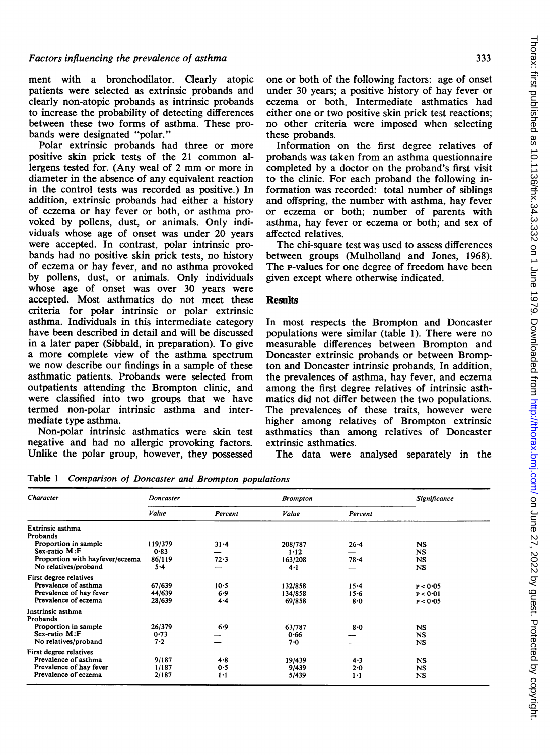ment with a bronchodilator. Clearly atopic patients were selected as extrinsic probands and clearly non-atopic probands as intrinsic probands to increase the probability of detecting differences between these two forms of asthma. These probands were designated "polar."

Polar extrinsic probands had three or more positive skin prick tests of the 21 common allergens tested for. (Any weal of <sup>2</sup> mm or more in diameter in the absence of any equivalent reaction in the control tests was recorded as positive.) In addition, extrinsic probands had either a history of eczema or hay fever or both, or asthma provoked by pollens, dust, or animals. Only individuals whose age of onset was under 20 years were accepted. In contrast, polar intrinsic probands had no positive skin prick tests, no history of eczema or hay fever, and no asthma provoked by pollens, dust, or animals. Only individuals whose age of onset was over 30 years were accepted. Most asthmatics do not meet these criteria for polar intrinsic or polar extrinsic asthma. Individuals in this intermediate category have been described in detail and will be discussed in a later paper (Sibbald, in preparation). To give a more complete view of the asthma spectrum we now describe our findings in a sample of these asthmatic patients. Probands were selected from outpatients attending the Brompton clinic, and were classified into two groups that we have termed non-polar intrinsic asthma and intermediate type asthma.

Non-polar intrinsic asthmatics were skin test negative and had no allergic provoking factors. Unlike the polar group, however, they possessed

one or both of the following factors: age of onset under 30 years; a positive history of hay fever or eczema or both. Intermediate asthmatics had either one or two positive skin prick test reactions; no other criteria were imposed when selecting these probands.

Information on the first degree relatives of probands was taken from an asthma questionnaire completed by a doctor on the proband's first visit to the clinic. For each proband the following information was recorded: total number of siblings and offspring, the number with asthma, hay fever or eczema or both; number of parents with asthma, hay fever or eczema or both; and sex of affected relatives.

The chi-square test was used to assess differences between groups (Mulholland and Jones, 1968). The P-values for one degree of freedom have been given except where otherwise indicated.

# Results

In most respects the Brompton and Doncaster populations were similar (table 1). There were no measurable differences between Brompton and Doncaster extrinsic probands or between Brompton and Doncaster intrinsic probands. In addition, the prevalences of asthma, hay fever, and eczema among the first degree relatives of intrinsic asthmatics did not differ between the two populations. The prevalences of these traits, however were higher among relatives of Brompton extrinsic asthmatics than among relatives of Doncaster extrinsic asthmatics.

The data were analysed separately in the

| Character                       | Doncaster |          | <b>Brompton</b> |          |           |  |
|---------------------------------|-----------|----------|-----------------|----------|-----------|--|
|                                 | Value     | Percent  | Value           | Percent  |           |  |
| Extrinsic asthma                |           |          |                 |          |           |  |
| Probands                        |           |          |                 |          |           |  |
| Proportion in sample            | 119/379   | $31 - 4$ | 208/787         | $26 - 4$ | <b>NS</b> |  |
| Sex-ratio M:F                   | 0.83      |          | $1 - 12$        |          | NS        |  |
| Proportion with hayfever/eczema | 86/119    | 72.3     | 163/208         | $78 - 4$ | NS        |  |
| No relatives/proband            | $5 - 4$   |          | 4.1             |          | NS.       |  |
| First degree relatives          |           |          |                 |          |           |  |
| Prevalence of asthma            | 67/639    | $10 - 5$ | 132/858         | $15 - 4$ | P < 0.05  |  |
| Prevalence of hay fever         | 44/639    | 6.9      | 134/858         | $15 - 6$ | P < 0.01  |  |
| Prevalence of eczema            | 28/639    | $4 - 4$  | 69/858          | $8 - 0$  | P < 0.05  |  |
| Instrinsic asthma               |           |          |                 |          |           |  |
| Probands                        |           |          |                 |          |           |  |
| Proportion in sample            | 26/379    | 6.9      | 63/787          | $8-0$    | NS.       |  |
| Sex-ratio M:F                   | 0.73      |          | 0.66            |          | NS        |  |
| No relatives/proband            | 7.2       |          | 7.0             |          | NS        |  |
|                                 |           |          |                 |          |           |  |
| First degree relatives          |           |          |                 |          |           |  |
| Prevalence of asthma            | 9/187     | $4 - 8$  | 19/439          | 4.3      | NS.       |  |
| Prevalence of hay fever         | 1/187     | 0.5      | 9/439           | $2 - 0$  | <b>NS</b> |  |
| Prevalence of eczema            | 2/187     | $1 - 1$  | 5/439           | $1 - 1$  | NS        |  |

Table <sup>1</sup> Comparison of Doncaster and Brompton populations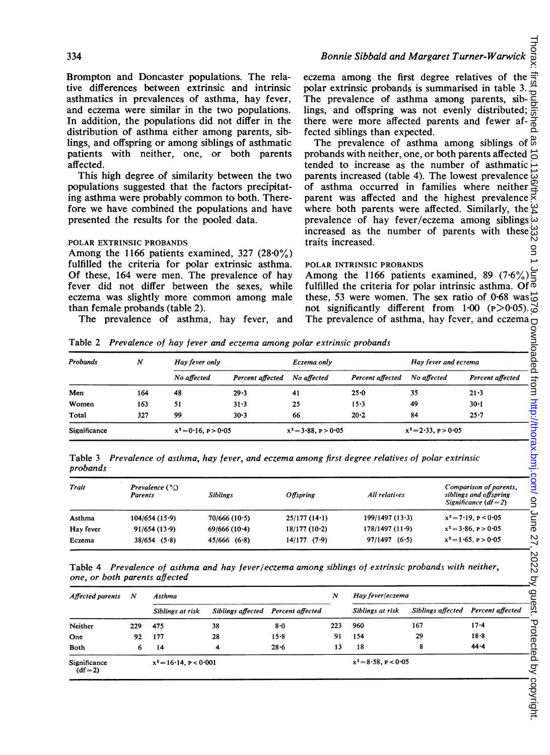Brompton and Doncaster populations. The relative differences between extrinsic and intrinsic asthmatics in prevalences of asthma, hay fever, and eczema were similar in the two populations. In addition, the populations did not differ in the distribution of asthma either among parents, siblings, and offspring or among siblings of asthmatic patients with neither, one, or both parents affected.

This high degree of similarity between the two populations suggested that the factors precipitating asthma were probably common to both. Therefore we have combined the populations and have presented the results for the pooled data.

#### POLAR EXTRINSIC PROBANDS

Among the 1166 patients examined, 327 (28-0%) fulfilled the criteria for polar extrinsic asthma. Of these, 164 were men. The prevalence of hay fever did not differ between the sexes, while eczema was slightly more common among male than female probands (table 2).

The prevalence of asthma, hay fever, and

first published eczema among the first degree relatives of the polar extrinsic probands is summarised in table 3. The prevalence of asthma among parents, siblings, and offspring was not evenly distributed; there were more affected parents and fewer affected siblings than expected.

The prevalence of asthma among siblings of  $\frac{\omega}{\omega}$ probands with neither, one, or both parents affected  $\vec{\theta}$ tended to increase as the number of asthmatic parents increased (table 4). The lowest prevalence  $\vec{\omega}$ of asthma occurred in families where neither parent was affected and the highest prevalence  $\frac{1}{2}$ where both parents were affected. Similarly, the  $\frac{\omega}{\Delta}$ prevalence of hay fever/eczema among siblings increased as the number of parents with these traits increased.

#### POLAR INTRINSIC PROBANDS

Among the 1166 patients examined, 89 (7.6%) fulfilled the criteria for polar intrinsic asthma. Of these, 53 were women. The sex ratio of  $0.68$  was not significantly different from  $1.00$  (P $>0.05$ ). The prevalence of asthma, hay fcver, and eczema

Table 2 Prevalence of hay fever and eczema among polar extrinsic probands

| Probands     | N   | Hay fever only            |                  | Eczema only               |                  | Hay fever and eczema      |                  |
|--------------|-----|---------------------------|------------------|---------------------------|------------------|---------------------------|------------------|
|              |     | No affected               | Percent affected | No affected               | Percent affected | No affected               | Percent affected |
| Men          | 164 | 48                        | $29 - 3$         | 41                        | 25.0             | 35                        | $21 - 3$         |
| Women        | 163 | 51                        | $31 - 3$         | 25                        | $15 - 3$         | 49                        | $30 - 1$         |
| Total        | 327 | 99                        | $30 - 3$         | 66                        | $20 - 2$         | 84                        | $25 - 7$         |
| Significance |     | $x^2 = 0.16$ , $p > 0.05$ |                  | $x^2 = 3.88$ , $p > 0.05$ |                  | $x^2 = 2.33$ , $p > 0.05$ |                  |

Table <sup>3</sup> Prevalence of asthma, hay fever, and eczema among first degree relatives of polar extrinsic probands

| Trait     | Prevalence $(\%)$<br>Parents | <b>Siblings</b>  | <i><b>Offspring</b></i> | All relatives    | Comparison of parents,<br>siblings and offspring<br>Significance $(df=2)$ |  |
|-----------|------------------------------|------------------|-------------------------|------------------|---------------------------------------------------------------------------|--|
| Asthma    | 104/654(15.9)                | 70/666(10.5)     | $25/177(14-1)$          | 199/1497(13.3)   | $x^2 = 7.19$ , $p < 0.05$                                                 |  |
| Hay fever | 91/654(13.9)                 | $69/666(10-4)$   | $18/177(10-2)$          | 178/1497(11.9)   | $x^2 = 3.86$ , $p > 0.05$                                                 |  |
| Eczema    | $38/654$ (5.8)               | $45/666$ $(6.8)$ | $14/177$ (7.9)          | 97/1497<br>(6.5) | $x^2 = 1.65$ , $p > 0.05$                                                 |  |

Table 4 Prevalence of asthma and hay fever/eezema among siblings of extrinsic probands with neither, one, or both parents affected

| Affected parents         | N   | Asthma                      |                                    |          | N   | Hay fever/eczema       |                                     |          |
|--------------------------|-----|-----------------------------|------------------------------------|----------|-----|------------------------|-------------------------------------|----------|
|                          |     | Siblings at risk            | Siblings affected Percent affected |          |     | Siblings at risk       | Siblings affected  Percent affected |          |
| Neither                  | 229 | 475                         | 38                                 | $8-0$    | 223 | 960                    | 167                                 | $17 - 4$ |
| One                      | 92  | 177                         | 28                                 | $15 - 8$ | 91  | 154                    | 29                                  | 18.8     |
| Both                     | 6   | 14                          | 4                                  | $28 - 6$ | 13  | 18                     | 8                                   | 44.4     |
| Significance<br>$(df=2)$ |     | $x^2 = 16.14$ , $P < 0.001$ |                                    |          |     | $x^2 = 8.58, p < 0.05$ |                                     |          |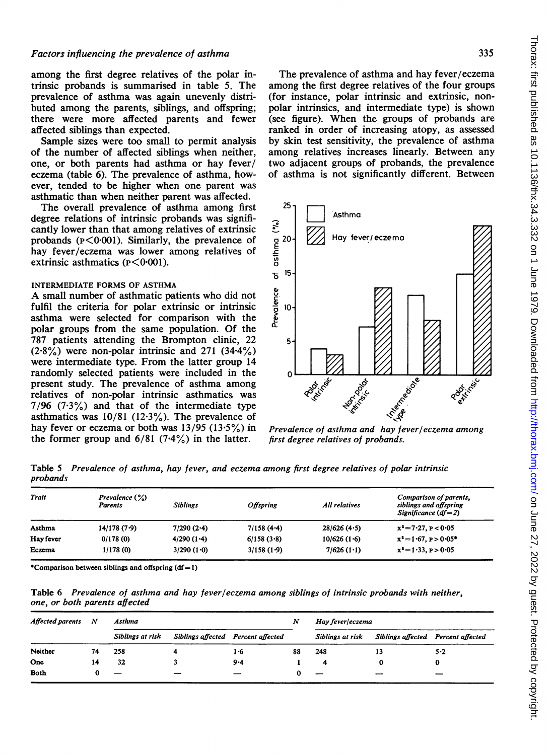among the first degree relatives of the polar intrinsic probands is summarised in table 5. The prevalence of asthma was again unevenly distributed among the parents, siblings, and offspring; there were more affected parents and fewer affected siblings than expected.

Sample sizes were too small to permit analysis of the number of affected siblings when neither, one, or both parents had asthma or hay fever/ eczema (table 6). The prevalence of asthma, however, tended to be higher when one parent was asthmatic than when neither parent was affected.

The overall prevalence of asthma among first degree relations of intrinsic probands was significantly lower than that among relatives of extrinsic probands ( $p < 0.001$ ). Similarly, the prevalence of hay fever/eczema was lower among relatives of extrinsic asthmatics  $(P<0.001)$ .

## INTERMEDIATE FORMS OF ASTHMA

A small number of asthmatic patients who did not fulfil the criteria for polar extrinsic or intrinsic asthma were selected for comparison with the polar groups from the same population. Of the 787 patients attending the Brompton clinic, 22  $(2.8\%)$  were non-polar intrinsic and 271  $(34.4\%)$ were intermediate type. From the latter group 14 randomly selected patients were included in the present study. The prevalence of asthma among relatives of non-polar intrinsic asthmatics was  $7/96$   $(7.3\%)$  and that of the intermediate type asthmatics was  $10/81$  (12.3%). The prevalence of hay fever or eczema or both was 13/95 (13-5%) in the former group and  $6/81$  (7.4%) in the latter.

The prevalence of asthma and hay fever/eczema among the first degree relatives of the four groups (for instance, polar intrinsic and extrinsic, nonpolar intrinsics, and intermediate type) is shown (see figure). When the groups of probands are ranked in order of increasing atopy, as assessed by skin test sensitivity, the prevalence of asthma among relatives increases linearly. Between any two adjacent groups of probands, the prevalence of asthma is not significantly different. Between



first degree relatives of probands.

Table <sup>5</sup> Prevalence of asthma, hay fever, and eczema among first degree relatives of polar intrinsic probands

| Trait     | Prevalence $(\%)$<br><b>Parents</b> | <b>Siblings</b> | <i><b>Offspring</b></i> | All relatives | Comparison of parents,<br>siblings and offspring<br>Significance $(df=2)$ |  |
|-----------|-------------------------------------|-----------------|-------------------------|---------------|---------------------------------------------------------------------------|--|
| Asthma    | 14/178(7.9)                         | $7/290(2-4)$    | $7/158(4-4)$            | 28/626(4.5)   | $x^2 = 7.27$ , $p < 0.05$                                                 |  |
| Hay fever | 0/178(0)                            | $4/290(1-4)$    | 6/158(3.8)              | 10/626(1.6)   | $x^2 = 1.67$ , $p > 0.05^*$                                               |  |
| Eczema    | 1/178(0)                            | 3/290(1.0)      | 3/158(1.9)              | $7/626(1-1)$  | $x^3 = 1.33$ , $p > 0.05$                                                 |  |

\*Comparison between siblings and offspring  $(df=1)$ 

Table 6 Prevalence of asthma and hay fever/eczema among siblings of intrinsic probands with neither, one, or both parents affected

| Affected parents | $\boldsymbol{N}$ | Asthma           |                                     | N       | Hay fever/eczema |                  |                                    |     |
|------------------|------------------|------------------|-------------------------------------|---------|------------------|------------------|------------------------------------|-----|
|                  |                  | Siblings at risk | Siblings affected  Percent affected |         |                  | Siblings at risk | Siblings affected Percent affected |     |
| Neither          | 74               | 258              |                                     | 1.6     | 88               | 248              |                                    | 5.2 |
| One              | 14               | 32               |                                     | $9 - 4$ |                  |                  |                                    |     |
| <b>Both</b>      |                  |                  |                                     |         |                  |                  |                                    |     |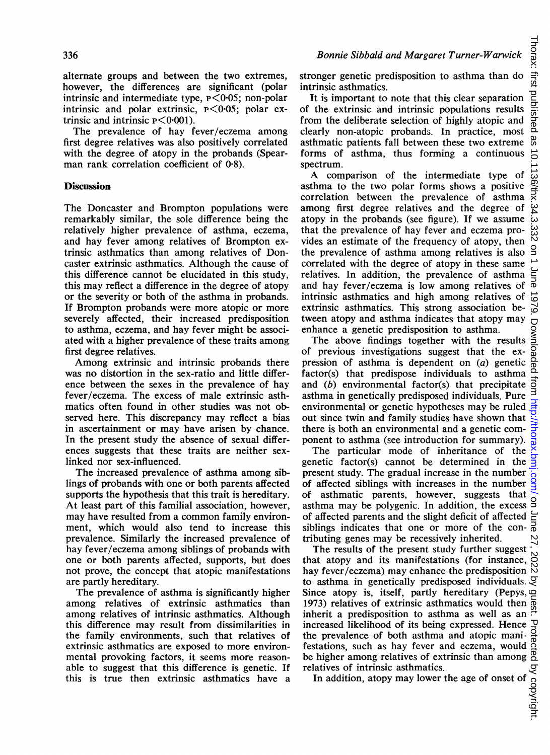alternate groups and between the two extremes, however, the differences are significant (polar intrinsic and intermediate type,  $p < 0.05$ ; non-polar intrinsic and polar extrinsic,  $P \leq 0.05$ ; polar extrinsic and intrinsic  $P \leq 0.001$ ).

The prevalence of hay fever/eczema among first degree relatives was also positively correlated with the degree of atopy in the probands (Spearman rank correlation coefficient of  $0.8$ ).

## Discussion

The Doncaster and Brompton populations were remarkably similar, the sole difference being the relatively higher prevalence of asthma, eczema, and hay fever among relatives of Brompton extrinsic asthmatics than among relatives of Doncaster extrinsic asthmatics. Although the cause of this difference cannot be elucidated in this study, this may reflect a difference in the degree of atopy or the severity or both of the asthma in probands. If Brompton probands were more atopic or more severely affected, their increased predisposition to asthma, eczema, and hay fever might be associated with a higher prevalence of these traits among first degree relatives.

Among extrinsic and intrinsic probands there was no distortion in the sex-ratio and little difference between the sexes in the prevalence of hay fever/eczema. The excess of male extrinsic asthmatics often found in other studies was not observed here. This discrepancy may reflect a bias in ascertainment or may have arisen by chance. In the present study the absence of sexual differences suggests that these traits are neither sexlinked nor sex-influenced.

The increased prevalence of asthma among siblings of probands with one or both parents affected supports the hypothesis that this trait is hereditary. At least part of this familial association, however, may have resulted from a common family environment, which would also tend to increase this prevalence. Similarly the increased prevalence of hay fever/eczema among siblings of probands with one or both parents affected, supports, but does not prove, the concept that atopic manifestations are partly hereditary.

The prevalence of asthma is significantly higher among relatives of extrinsic asthmatics than among relatives of intrinsic asthmatics. Although this difference may result from dissimilarities in the family environments, such that relatives of extrinsic asthmatics are exposed to more environmental provoking factors, it seems more reasonable to suggest that this difference is genetic. If this is true then extrinsic asthmatics have a

stronger genetic predisposition to asthma than do intrinsic asthmatics.

It is important to note that this clear separation of the extrinsic and intrinsic populations results from the deliberate selection of highly atopic and clearly non-atopic probands. In practice, most asthmatic patients fall between these two extreme forms of asthma, thus forming a continuous spectrum.

A comparison of the intermediate type of asthma to the two polar forms shows a positive correlation between the prevalence of asthma among first degree relatives and the degree of atopy in the probands (see figure). If we assume that the prevalence of hay fever and eczema provides an estimate of the frequency of atopy, then the prevalence of asthma among relatives is also correlated with the degree of atopy in these same relatives. In addition, the prevalence of asthma and hay fever/eczema is low among relatives of intrinsic asthmatics and high among relatives of extrinsic asthmatics. This strong association between atopy and asthma indicates that atopy may enhance a genetic predisposition to asthma.

The above findings together with the results  $\frac{5}{8}$ <br>previous investigations suggest that the ex- $\frac{5}{8}$ <br>ession of asthma is dependent on (*a*) genetic  $\frac{6}{8}$ <br>ester(s) that predispose individuals to asthma of previous investigations suggest that the expression of asthma is dependent on  $(a)$  genetic factor(s) that predispose individuals to asthma and (b) environmental factor(s) that precipitate asthma in genetically predisposed individuals. Pure environmental or genetic hypotheses may be ruled out since twin and family studies have shown that there is both an environmental and a genetic component to asthma (see introduction for summary).

The particular mode of inheritance of the genetic factor(s) cannot be determined in the present study. The gradual increase in the number of affected siblings with increases in the number of asthmatic parents, however, suggests that asthma may be polygenic. In addition, the excess of affected parents and the slight deficit of affected siblings indicates that one or more of the con-್ದ tributing genes may be recessively inherited.

The results of the present study further suggest that atopy and its manifestations (for instance,  $\frac{\infty}{\infty}$  hav fever/eczema) may enhance the predisposition  $\frac{\infty}{\infty}$ hay fever/eczema) may enhance the predisposition to asthma in genetically predisposed individuals.  $\mathcal{F}$ Since atopy is, itself, partly hereditary (Pepys, 1973) relatives of extrinsic asthmatics would then inherit a predisposition to asthma as well as an increased likelihood of its being expressed. Hence the prevalence of both asthma and atopic manifestations, such as hay fever and eczema, would be higher among relatives of extrinsic than among relatives of intrinsic asthmatics.

Iatives of intrinsic asthmatics.<br>In addition, atopy may lower the age of onset of  $\underset{\substack{0 \text{odd} \\ \text{odd} \\ \text{odd}}}^{\text{C}}$